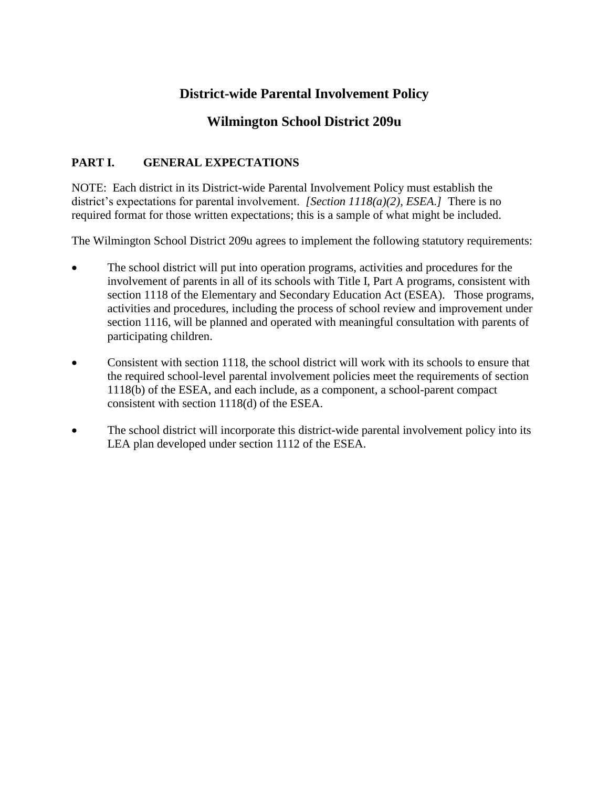# **District-wide Parental Involvement Policy**

## **Wilmington School District 209u**

## **PART I. GENERAL EXPECTATIONS**

NOTE: Each district in its District-wide Parental Involvement Policy must establish the district's expectations for parental involvement. *[Section 1118(a)(2), ESEA.]* There is no required format for those written expectations; this is a sample of what might be included.

The Wilmington School District 209u agrees to implement the following statutory requirements:

- The school district will put into operation programs, activities and procedures for the involvement of parents in all of its schools with Title I, Part A programs, consistent with section 1118 of the Elementary and Secondary Education Act (ESEA). Those programs, activities and procedures, including the process of school review and improvement under section 1116, will be planned and operated with meaningful consultation with parents of participating children.
- Consistent with section 1118, the school district will work with its schools to ensure that the required school-level parental involvement policies meet the requirements of section 1118(b) of the ESEA, and each include, as a component, a school-parent compact consistent with section 1118(d) of the ESEA.
- The school district will incorporate this district-wide parental involvement policy into its LEA plan developed under section 1112 of the ESEA.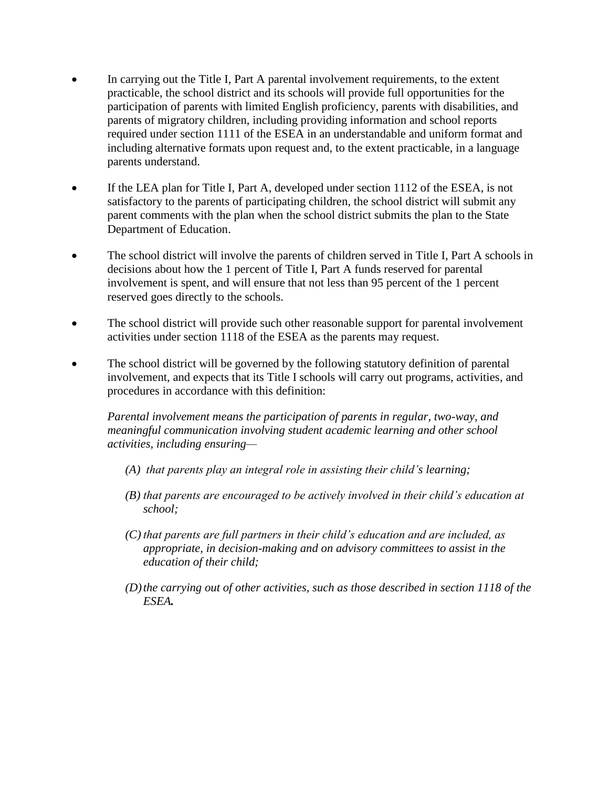- In carrying out the Title I, Part A parental involvement requirements, to the extent practicable, the school district and its schools will provide full opportunities for the participation of parents with limited English proficiency, parents with disabilities, and parents of migratory children, including providing information and school reports required under section 1111 of the ESEA in an understandable and uniform format and including alternative formats upon request and, to the extent practicable, in a language parents understand.
- If the LEA plan for Title I, Part A, developed under section 1112 of the ESEA, is not satisfactory to the parents of participating children, the school district will submit any parent comments with the plan when the school district submits the plan to the State Department of Education.
- The school district will involve the parents of children served in Title I, Part A schools in decisions about how the 1 percent of Title I, Part A funds reserved for parental involvement is spent, and will ensure that not less than 95 percent of the 1 percent reserved goes directly to the schools.
- The school district will provide such other reasonable support for parental involvement activities under section 1118 of the ESEA as the parents may request.
- The school district will be governed by the following statutory definition of parental involvement, and expects that its Title I schools will carry out programs, activities, and procedures in accordance with this definition:

*Parental involvement means the participation of parents in regular, two-way, and meaningful communication involving student academic learning and other school activities, including ensuring—*

- *(A) that parents play an integral role in assisting their child's learning;*
- *(B) that parents are encouraged to be actively involved in their child's education at school;*
- *(C) that parents are full partners in their child's education and are included, as appropriate, in decision-making and on advisory committees to assist in the education of their child;*
- *(D)the carrying out of other activities, such as those described in section 1118 of the ESEA.*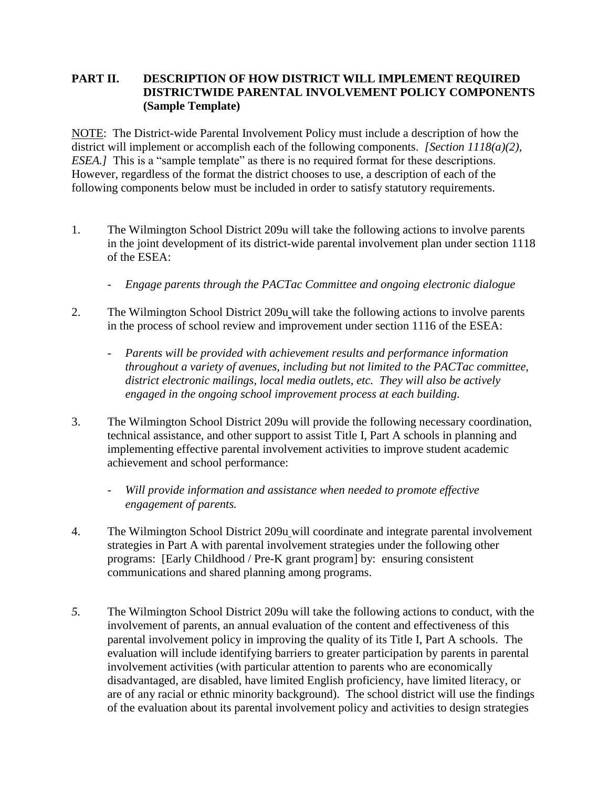#### **PART II. DESCRIPTION OF HOW DISTRICT WILL IMPLEMENT REQUIRED DISTRICTWIDE PARENTAL INVOLVEMENT POLICY COMPONENTS (Sample Template)**

NOTE: The District-wide Parental Involvement Policy must include a description of how the district will implement or accomplish each of the following components. *[Section 1118(a)(2)*, *ESEA.]* This is a "sample template" as there is no required format for these descriptions. However, regardless of the format the district chooses to use, a description of each of the following components below must be included in order to satisfy statutory requirements.

- 1. The Wilmington School District 209u will take the following actions to involve parents in the joint development of its district-wide parental involvement plan under section 1118 of the ESEA:
	- *Engage parents through the PACTac Committee and ongoing electronic dialogue*
- 2. The Wilmington School District 209u will take the following actions to involve parents in the process of school review and improvement under section 1116 of the ESEA:
	- *Parents will be provided with achievement results and performance information throughout a variety of avenues, including but not limited to the PACTac committee, district electronic mailings, local media outlets, etc. They will also be actively engaged in the ongoing school improvement process at each building.*
- 3. The Wilmington School District 209u will provide the following necessary coordination, technical assistance, and other support to assist Title I, Part A schools in planning and implementing effective parental involvement activities to improve student academic achievement and school performance:
	- *Will provide information and assistance when needed to promote effective engagement of parents.*
- 4. The Wilmington School District 209u will coordinate and integrate parental involvement strategies in Part A with parental involvement strategies under the following other programs: [Early Childhood / Pre-K grant program] by: ensuring consistent communications and shared planning among programs.
- *5.* The Wilmington School District 209u will take the following actions to conduct, with the involvement of parents, an annual evaluation of the content and effectiveness of this parental involvement policy in improving the quality of its Title I, Part A schools. The evaluation will include identifying barriers to greater participation by parents in parental involvement activities (with particular attention to parents who are economically disadvantaged, are disabled, have limited English proficiency, have limited literacy, or are of any racial or ethnic minority background). The school district will use the findings of the evaluation about its parental involvement policy and activities to design strategies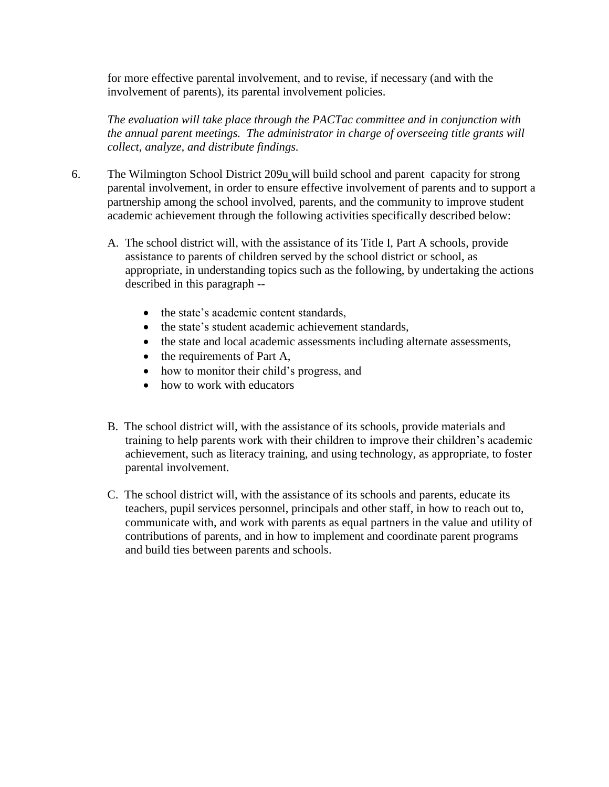for more effective parental involvement, and to revise, if necessary (and with the involvement of parents), its parental involvement policies.

*The evaluation will take place through the PACTac committee and in conjunction with the annual parent meetings. The administrator in charge of overseeing title grants will collect, analyze, and distribute findings.*

- 6. The Wilmington School District 209u will build school and parent capacity for strong parental involvement, in order to ensure effective involvement of parents and to support a partnership among the school involved, parents, and the community to improve student academic achievement through the following activities specifically described below:
	- A. The school district will, with the assistance of its Title I, Part A schools, provide assistance to parents of children served by the school district or school, as appropriate, in understanding topics such as the following, by undertaking the actions described in this paragraph --
		- the state's academic content standards,
		- the state's student academic achievement standards,
		- the state and local academic assessments including alternate assessments,
		- $\bullet$  the requirements of Part A,
		- how to monitor their child's progress, and
		- how to work with educators
	- B. The school district will, with the assistance of its schools, provide materials and training to help parents work with their children to improve their children's academic achievement, such as literacy training, and using technology, as appropriate, to foster parental involvement.
	- C. The school district will, with the assistance of its schools and parents, educate its teachers, pupil services personnel, principals and other staff, in how to reach out to, communicate with, and work with parents as equal partners in the value and utility of contributions of parents, and in how to implement and coordinate parent programs and build ties between parents and schools.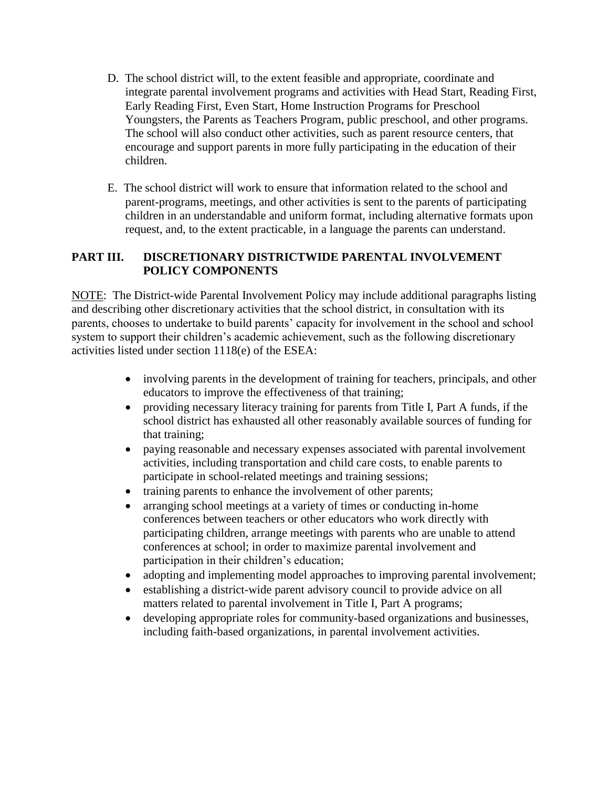- D. The school district will, to the extent feasible and appropriate, coordinate and integrate parental involvement programs and activities with Head Start, Reading First, Early Reading First, Even Start, Home Instruction Programs for Preschool Youngsters, the Parents as Teachers Program, public preschool, and other programs. The school will also conduct other activities, such as parent resource centers, that encourage and support parents in more fully participating in the education of their children.
- E. The school district will work to ensure that information related to the school and parent-programs, meetings, and other activities is sent to the parents of participating children in an understandable and uniform format, including alternative formats upon request, and, to the extent practicable, in a language the parents can understand.

#### **PART III. DISCRETIONARY DISTRICTWIDE PARENTAL INVOLVEMENT POLICY COMPONENTS**

NOTE: The District-wide Parental Involvement Policy may include additional paragraphs listing and describing other discretionary activities that the school district, in consultation with its parents, chooses to undertake to build parents' capacity for involvement in the school and school system to support their children's academic achievement, such as the following discretionary activities listed under section 1118(e) of the ESEA:

- involving parents in the development of training for teachers, principals, and other educators to improve the effectiveness of that training;
- providing necessary literacy training for parents from Title I, Part A funds, if the school district has exhausted all other reasonably available sources of funding for that training;
- paying reasonable and necessary expenses associated with parental involvement activities, including transportation and child care costs, to enable parents to participate in school-related meetings and training sessions;
- training parents to enhance the involvement of other parents;
- arranging school meetings at a variety of times or conducting in-home conferences between teachers or other educators who work directly with participating children, arrange meetings with parents who are unable to attend conferences at school; in order to maximize parental involvement and participation in their children's education;
- adopting and implementing model approaches to improving parental involvement;
- establishing a district-wide parent advisory council to provide advice on all matters related to parental involvement in Title I, Part A programs;
- developing appropriate roles for community-based organizations and businesses, including faith-based organizations, in parental involvement activities.